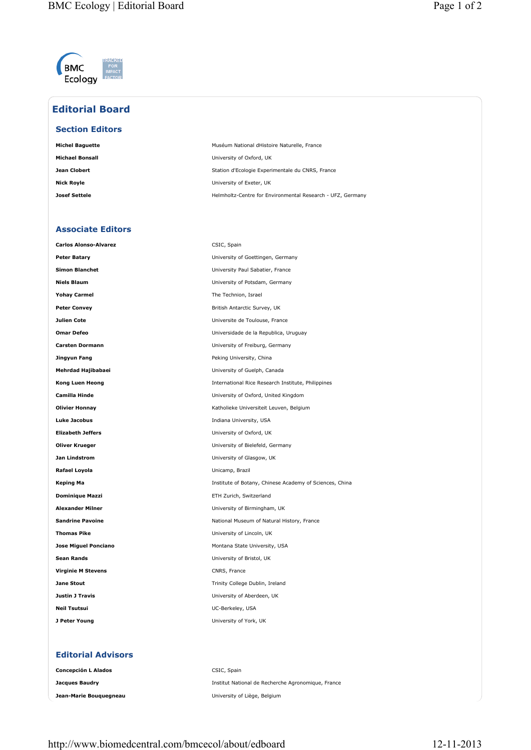

## **Editorial Board**

## **Section Editors**

| Michel Baguette | Muséum National dHistoire Naturelle, France                |
|-----------------|------------------------------------------------------------|
| Michael Bonsall | University of Oxford, UK                                   |
| Jean Clobert    | Station d'Ecologie Experimentale du CNRS, France           |
| Nick Rovle      | University of Exeter, UK                                   |
| Josef Settele   | Helmholtz-Centre for Environmental Research - UFZ, Germany |

## **Associate Editors**

| <b>Carlos Alonso-Alvarez</b> | CSIC, Spain                                             |
|------------------------------|---------------------------------------------------------|
| <b>Peter Batary</b>          | University of Goettingen, Germany                       |
| <b>Simon Blanchet</b>        | University Paul Sabatier, France                        |
| <b>Niels Blaum</b>           | University of Potsdam, Germany                          |
| <b>Yohay Carmel</b>          | The Technion, Israel                                    |
| <b>Peter Convey</b>          | British Antarctic Survey, UK                            |
| Julien Cote                  | Universite de Toulouse, France                          |
| <b>Omar Defeo</b>            | Universidade de la Republica, Uruguay                   |
| <b>Carsten Dormann</b>       | University of Freiburg, Germany                         |
| Jingyun Fang                 | Peking University, China                                |
| Mehrdad Hajibabaei           | University of Guelph, Canada                            |
| Kong Luen Heong              | International Rice Research Institute, Philippines      |
| <b>Camilla Hinde</b>         | University of Oxford, United Kingdom                    |
| <b>Olivier Honnay</b>        | Katholieke Universiteit Leuven, Belgium                 |
| <b>Luke Jacobus</b>          | Indiana University, USA                                 |
| <b>Elizabeth Jeffers</b>     | University of Oxford, UK                                |
| <b>Oliver Krueger</b>        | University of Bielefeld, Germany                        |
| Jan Lindstrom                | University of Glasgow, UK                               |
| Rafael Loyola                | Unicamp, Brazil                                         |
| <b>Keping Ma</b>             | Institute of Botany, Chinese Academy of Sciences, China |
| <b>Dominique Mazzi</b>       | ETH Zurich, Switzerland                                 |
| <b>Alexander Milner</b>      | University of Birmingham, UK                            |
| <b>Sandrine Pavoine</b>      | National Museum of Natural History, France              |
| <b>Thomas Pike</b>           | University of Lincoln, UK                               |
| <b>Jose Miguel Ponciano</b>  | Montana State University, USA                           |
| <b>Sean Rands</b>            | University of Bristol, UK                               |
| <b>Virginie M Stevens</b>    | CNRS, France                                            |
| <b>Jane Stout</b>            | Trinity College Dublin, Ireland                         |
| <b>Justin J Travis</b>       | University of Aberdeen, UK                              |
| <b>Neil Tsutsui</b>          | UC-Berkeley, USA                                        |
| J Peter Young                | University of York, UK                                  |
|                              |                                                         |
| <b>Editorial Advisors</b>    |                                                         |
| <b>Concepción L Alados</b>   | CSIC, Spain                                             |
| <b>Jacques Baudry</b>        | Institut National de Recherche Agronomique, France      |
| Jean-Marie Bouquegneau       | University of Liège, Belgium                            |
|                              |                                                         |